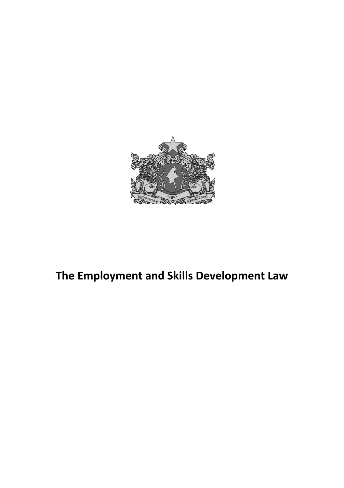

# **The Employment and Skills Development Law**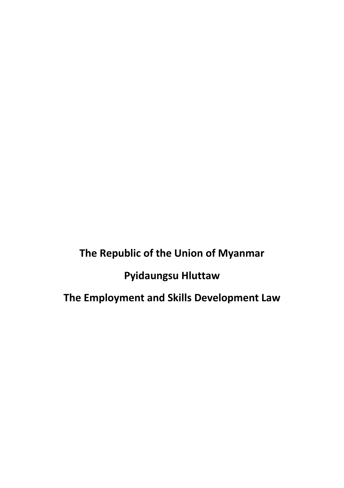**The Republic of the Union of Myanmar**

**Pyidaungsu Hluttaw**

**The Employment and Skills Development Law**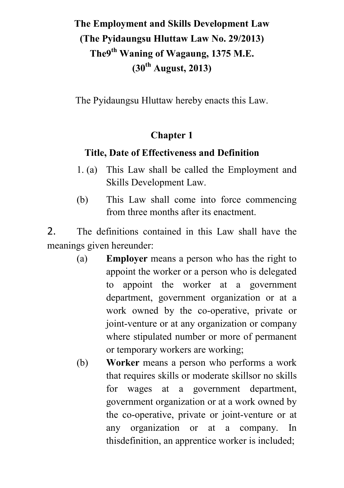# **The Employment and Skills Development Law (The Pyidaungsu Hluttaw Law No. 29/2013) The9th Waning of Wagaung, 1375 M.E. (30th August, 2013)**

The Pyidaungsu Hluttaw hereby enacts this Law.

### **Chapter 1**

### **Title, Date of Effectiveness and Definition**

- 1. (a) This Law shall be called the Employment and Skills Development Law.
- (b) This Law shall come into force commencing from three months after its enactment.

2. The definitions contained in this Law shall have the meanings given hereunder:

- (a) **Employer** means a person who has the right to appoint the worker or a person who is delegated to appoint the worker at a government department, government organization or at a work owned by the co-operative, private or joint-venture or at any organization or company where stipulated number or more of permanent or temporary workers are working;
- (b) **Worker** means a person who performs a work that requires skills or moderate skillsor no skills for wages at a government department, government organization or at a work owned by the co-operative, private or joint-venture or at any organization or at a company. In thisdefinition, an apprentice worker is included;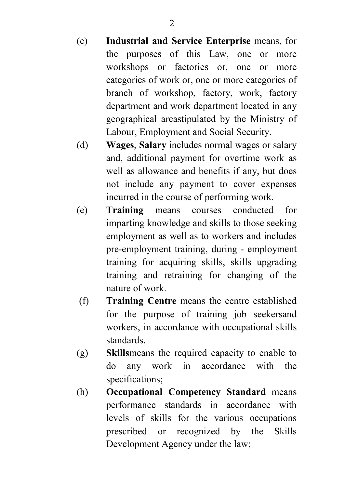- (c) **Industrial and Service Enterprise** means, for the purposes of this Law, one or more workshops or factories or, one or more categories of work or, one or more categories of branch of workshop, factory, work, factory department and work department located in any geographical areastipulated by the Ministry of Labour, Employment and Social Security.
- (d) **Wages**, **Salary** includes normal wages or salary and, additional payment for overtime work as well as allowance and benefits if any, but does not include any payment to cover expenses incurred in the course of performing work.
- (e) **Training** means courses conducted for imparting knowledge and skills to those seeking employment as well as to workers and includes pre-employment training, during - employment training for acquiring skills, skills upgrading training and retraining for changing of the nature of work.
- (f) **Training Centre** means the centre established for the purpose of training job seekersand workers, in accordance with occupational skills standards.
- (g) **Skills**means the required capacity to enable to do any work in accordance with the specifications;
- (h) **Occupational Competency Standard** means performance standards in accordance with levels of skills for the various occupations prescribed or recognized by the Skills Development Agency under the law;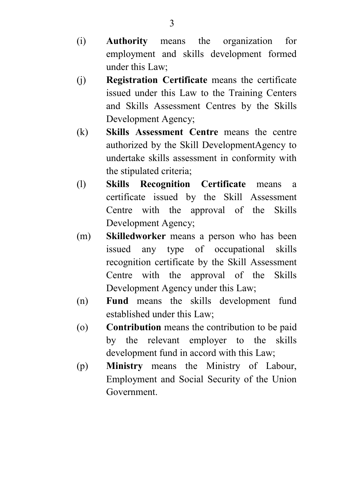- (i) **Authority** means the organization for employment and skills development formed under this Law;
- (j) **Registration Certificate** means the certificate issued under this Law to the Training Centers and Skills Assessment Centres by the Skills Development Agency;
- (k) **Skills Assessment Centre** means the centre authorized by the Skill DevelopmentAgency to undertake skills assessment in conformity with the stipulated criteria;
- (l) **Skills Recognition Certificate** means a certificate issued by the Skill Assessment Centre with the approval of the Skills Development Agency;
- (m) **Skilledworker** means a person who has been issued any type of occupational skills recognition certificate by the Skill Assessment Centre with the approval of the Skills Development Agency under this Law;
- (n) **Fund** means the skills development fund established under this Law;
- (o) **Contribution** means the contribution to be paid by the relevant employer to the skills development fund in accord with this Law;
- (p) **Ministry** means the Ministry of Labour, Employment and Social Security of the Union Government.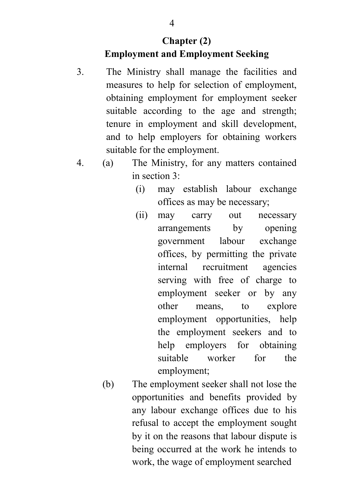### **Chapter (2) Employment and Employment Seeking**

- 3. The Ministry shall manage the facilities and measures to help for selection of employment, obtaining employment for employment seeker suitable according to the age and strength; tenure in employment and skill development, and to help employers for obtaining workers suitable for the employment.
- 4. (a) The Ministry, for any matters contained in section 3:
	- (i) may establish labour exchange offices as may be necessary;
	- (ii) may carry out necessary arrangements by opening government labour exchange offices, by permitting the private internal recruitment agencies serving with free of charge to employment seeker or by any other means, to explore employment opportunities, help the employment seekers and to help employers for obtaining suitable worker for the employment;
	- (b) The employment seeker shall not lose the opportunities and benefits provided by any labour exchange offices due to his refusal to accept the employment sought by it on the reasons that labour dispute is being occurred at the work he intends to work, the wage of employment searched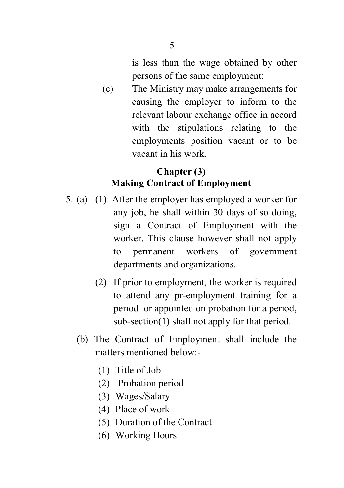is less than the wage obtained by other persons of the same employment;

(c) The Ministry may make arrangements for causing the employer to inform to the relevant labour exchange office in accord with the stipulations relating to the employments position vacant or to be vacant in his work.

#### **Chapter (3) Making Contract of Employment**

- 5. (a) (1) After the employer has employed a worker for any job, he shall within 30 days of so doing, sign a Contract of Employment with the worker. This clause however shall not apply to permanent workers of government departments and organizations.
	- (2) If prior to employment, the worker is required to attend any pr-employment training for a period or appointed on probation for a period, sub-section(1) shall not apply for that period.
	- (b) The Contract of Employment shall include the matters mentioned below:-
		- (1) Title of Job
		- (2) Probation period
		- (3) Wages/Salary
		- (4) Place of work
		- (5) Duration of the Contract
		- (6) Working Hours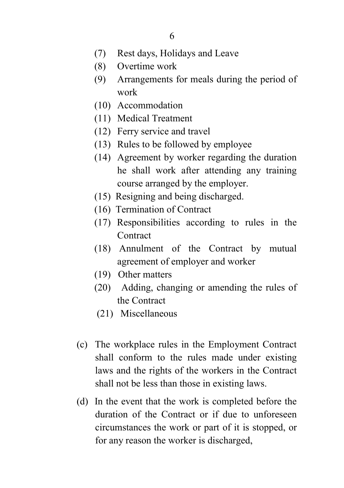- (7) Rest days, Holidays and Leave
- (8) Overtime work
- (9) Arrangements for meals during the period of work
- (10) Accommodation
- (11) Medical Treatment
- (12) Ferry service and travel
- (13) Rules to be followed by employee
- (14) Agreement by worker regarding the duration he shall work after attending any training course arranged by the employer.
- (15) Resigning and being discharged.
- (16) Termination of Contract
- (17) Responsibilities according to rules in the **Contract**
- (18) Annulment of the Contract by mutual agreement of employer and worker
- (19) Other matters
- (20) Adding, changing or amending the rules of the Contract
- (21) Miscellaneous
- (c) The workplace rules in the Employment Contract shall conform to the rules made under existing laws and the rights of the workers in the Contract shall not be less than those in existing laws.
- (d) In the event that the work is completed before the duration of the Contract or if due to unforeseen circumstances the work or part of it is stopped, or for any reason the worker is discharged,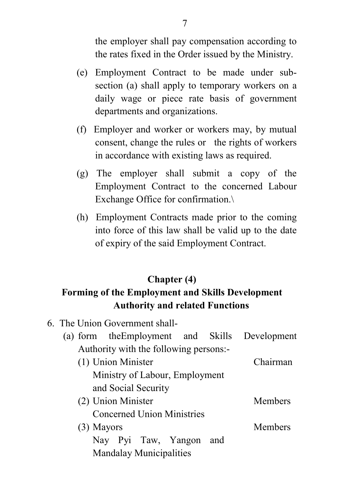the employer shall pay compensation according to the rates fixed in the Order issued by the Ministry.

- (e) Employment Contract to be made under subsection (a) shall apply to temporary workers on a daily wage or piece rate basis of government departments and organizations.
- (f) Employer and worker or workers may, by mutual consent, change the rules or the rights of workers in accordance with existing laws as required.
- (g) The employer shall submit a copy of the Employment Contract to the concerned Labour Exchange Office for confirmation.\
- (h) Employment Contracts made prior to the coming into force of this law shall be valid up to the date of expiry of the said Employment Contract.

#### **Chapter (4)**

#### **Forming of the Employment and Skills Development Authority and related Functions**

- 6. The Union Government shall-
	- (a) form theEmployment and Skills Development Authority with the following persons:-
		- (1) Union Minister Chairman Ministry of Labour, Employment and Social Security (2) Union Minister Members Concerned Union Ministries (3) Mayors Members Nay Pyi Taw, Yangon and Mandalay Municipalities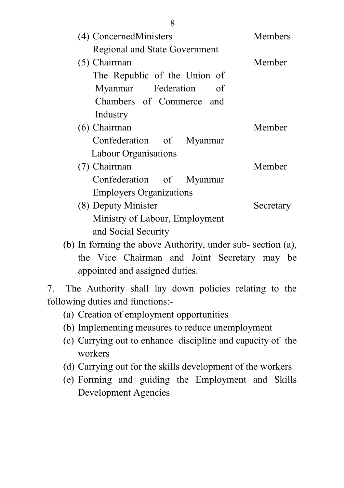| (4) ConcernedMinisters         | <b>Members</b> |
|--------------------------------|----------------|
| Regional and State Government  |                |
| $(5)$ Chairman                 | Member         |
| The Republic of the Union of   |                |
| Myanmar Federation of          |                |
| Chambers of Commerce and       |                |
| Industry                       |                |
| (6) Chairman                   | Member         |
| Confederation of Myanmar       |                |
| Labour Organisations           |                |
| (7) Chairman                   | Member         |
| Confederation of Myanmar       |                |
| <b>Employers Organizations</b> |                |
| (8) Deputy Minister            | Secretary      |
| Ministry of Labour, Employment |                |
| and Social Security            |                |

(b) In forming the above Authority, under sub- section (a), the Vice Chairman and Joint Secretary may be appointed and assigned duties.

7. The Authority shall lay down policies relating to the following duties and functions:-

- (a) Creation of employment opportunities
- (b) Implementing measures to reduce unemployment
- (c) Carrying out to enhance discipline and capacity of the workers
- (d) Carrying out for the skills development of the workers
- (e) Forming and guiding the Employment and Skills Development Agencies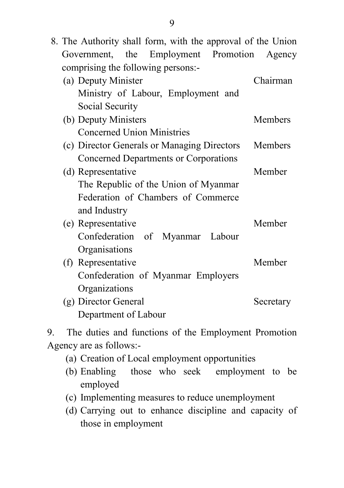| 8. The Authority shall form, with the approval of the Union |           |
|-------------------------------------------------------------|-----------|
| Government, the Employment Promotion                        | Agency    |
| comprising the following persons:-                          |           |
| (a) Deputy Minister                                         | Chairman  |
| Ministry of Labour, Employment and                          |           |
| Social Security                                             |           |
| (b) Deputy Ministers                                        | Members   |
| <b>Concerned Union Ministries</b>                           |           |
| (c) Director Generals or Managing Directors                 | Members   |
| Concerned Departments or Corporations                       |           |
| (d) Representative                                          | Member    |
| The Republic of the Union of Myanmar                        |           |
| Federation of Chambers of Commerce                          |           |
| and Industry                                                |           |
| (e) Representative                                          | Member    |
| Confederation of Myanmar<br>Labour                          |           |
| Organisations                                               |           |
| (f) Representative                                          | Member    |
| Confederation of Myanmar Employers                          |           |
| Organizations                                               |           |
| (g) Director General                                        | Secretary |
| Department of Labour                                        |           |

9. The duties and functions of the Employment Promotion Agency are as follows:-

- (a) Creation of Local employment opportunities
- (b) Enabling those who seek employment to be employed
- (c) Implementing measures to reduce unemployment
- (d) Carrying out to enhance discipline and capacity of those in employment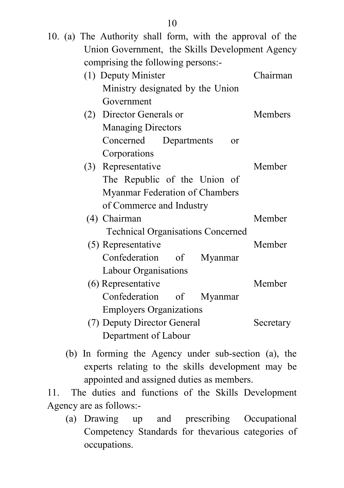|  | 10. (a) The Authority shall form, with the approval of the |           |
|--|------------------------------------------------------------|-----------|
|  | Union Government, the Skills Development Agency            |           |
|  | comprising the following persons:-                         |           |
|  | (1) Deputy Minister                                        | Chairman  |
|  | Ministry designated by the Union                           |           |
|  | Government                                                 |           |
|  | (2) Director Generals or                                   | Members   |
|  | <b>Managing Directors</b>                                  |           |
|  | Concerned<br>Departments<br><sub>or</sub>                  |           |
|  | Corporations                                               |           |
|  | (3) Representative                                         | Member    |
|  | The Republic of the Union of                               |           |
|  | Myanmar Federation of Chambers                             |           |
|  | of Commerce and Industry                                   |           |
|  | (4) Chairman                                               | Member    |
|  | <b>Technical Organisations Concerned</b>                   |           |
|  | (5) Representative                                         | Member    |
|  | Confederation of<br>Myanmar                                |           |
|  | Labour Organisations                                       |           |
|  | (6) Representative                                         | Member    |
|  | Confederation of<br>Myanmar                                |           |
|  | <b>Employers Organizations</b>                             |           |
|  | (7) Deputy Director General                                | Secretary |
|  | Department of Labour                                       |           |

(b) In forming the Agency under sub-section (a), the experts relating to the skills development may be appointed and assigned duties as members.

11. The duties and functions of the Skills Development Agency are as follows:-

(a) Drawing up and prescribing Occupational Competency Standards for thevarious categories of occupations.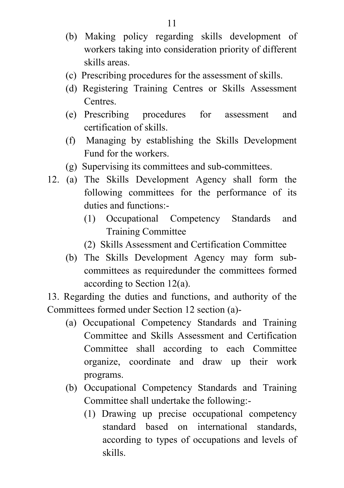- (b) Making policy regarding skills development of workers taking into consideration priority of different skills areas.
- (c) Prescribing procedures for the assessment of skills.
- (d) Registering Training Centres or Skills Assessment **Centres**
- (e) Prescribing procedures for assessment and certification of skills.
- (f) Managing by establishing the Skills Development Fund for the workers.
- (g) Supervising its committees and sub-committees.
- 12. (a) The Skills Development Agency shall form the following committees for the performance of its duties and functions:-
	- (1) Occupational Competency Standards and Training Committee
	- (2) Skills Assessment and Certification Committee
	- (b) The Skills Development Agency may form subcommittees as requiredunder the committees formed according to Section 12(a).

13. Regarding the duties and functions, and authority of the Committees formed under Section 12 section (a)-

- (a) Occupational Competency Standards and Training Committee and Skills Assessment and Certification Committee shall according to each Committee organize, coordinate and draw up their work programs.
- (b) Occupational Competency Standards and Training Committee shall undertake the following:-
	- (1) Drawing up precise occupational competency standard based on international standards, according to types of occupations and levels of skills.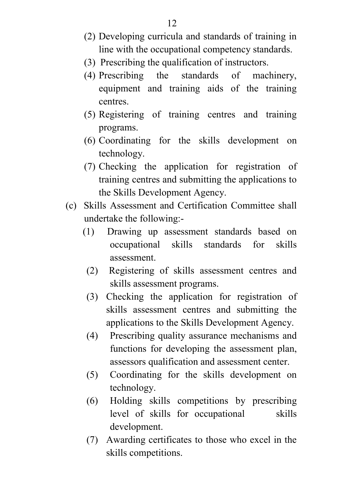- (2) Developing curricula and standards of training in line with the occupational competency standards.
- (3) Prescribing the qualification of instructors.
- (4) Prescribing the standards of machinery, equipment and training aids of the training centres.
- (5) Registering of training centres and training programs.
- (6) Coordinating for the skills development on technology.
- (7) Checking the application for registration of training centres and submitting the applications to the Skills Development Agency.
- (c) Skills Assessment and Certification Committee shall undertake the following:-
	- (1) Drawing up assessment standards based on occupational skills standards for skills assessment.
		- (2) Registering of skills assessment centres and skills assessment programs.
		- (3) Checking the application for registration of skills assessment centres and submitting the applications to the Skills Development Agency.
		- (4) Prescribing quality assurance mechanisms and functions for developing the assessment plan, assessors qualification and assessment center.
		- (5) Coordinating for the skills development on technology.
		- (6) Holding skills competitions by prescribing level of skills for occupational skills development.
		- (7) Awarding certificates to those who excel in the skills competitions.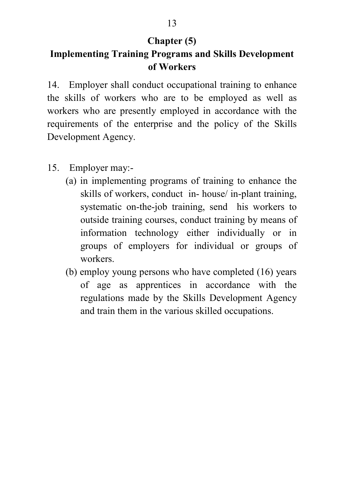# **Chapter (5)**

# **Implementing Training Programs and Skills Development of Workers**

14. Employer shall conduct occupational training to enhance the skills of workers who are to be employed as well as workers who are presently employed in accordance with the requirements of the enterprise and the policy of the Skills Development Agency.

- 15. Employer may:-
	- (a) in implementing programs of training to enhance the skills of workers, conduct in- house/ in-plant training, systematic on-the-job training, send his workers to outside training courses, conduct training by means of information technology either individually or in groups of employers for individual or groups of workers.
	- (b) employ young persons who have completed (16) years of age as apprentices in accordance with the regulations made by the Skills Development Agency and train them in the various skilled occupations.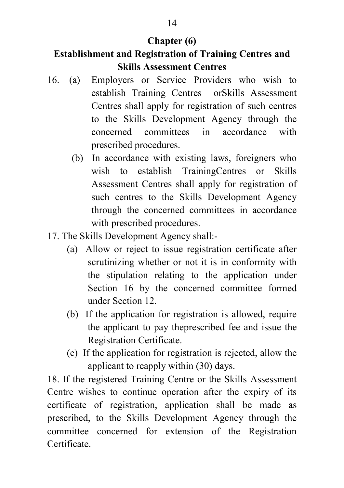# **Chapter (6)**

# **Establishment and Registration of Training Centres and Skills Assessment Centres**

- 16. (a) Employers or Service Providers who wish to establish Training Centres orSkills Assessment Centres shall apply for registration of such centres to the Skills Development Agency through the concerned committees in accordance with prescribed procedures.
	- (b) In accordance with existing laws, foreigners who wish to establish TrainingCentres or Skills Assessment Centres shall apply for registration of such centres to the Skills Development Agency through the concerned committees in accordance with prescribed procedures.
- 17. The Skills Development Agency shall:-
	- (a) Allow or reject to issue registration certificate after scrutinizing whether or not it is in conformity with the stipulation relating to the application under Section 16 by the concerned committee formed under Section 12.
	- (b) If the application for registration is allowed, require the applicant to pay theprescribed fee and issue the Registration Certificate.
	- (c) If the application for registration is rejected, allow the applicant to reapply within (30) days.

18. If the registered Training Centre or the Skills Assessment Centre wishes to continue operation after the expiry of its certificate of registration, application shall be made as prescribed, to the Skills Development Agency through the committee concerned for extension of the Registration Certificate.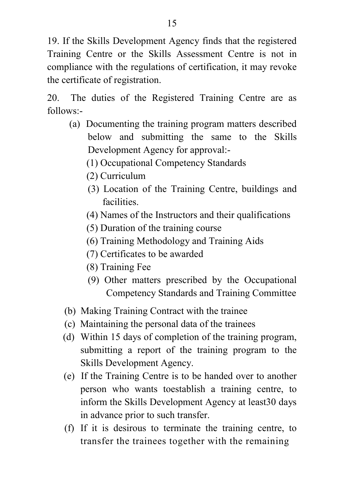19. If the Skills Development Agency finds that the registered Training Centre or the Skills Assessment Centre is not in compliance with the regulations of certification, it may revoke the certificate of registration.

20. The duties of the Registered Training Centre are as follows:-

- (a) Documenting the training program matters described below and submitting the same to the Skills Development Agency for approval:-
	- (1) Occupational Competency Standards
	- (2) Curriculum
	- (3) Location of the Training Centre, buildings and facilities.
	- (4) Names of the Instructors and their qualifications
	- (5) Duration of the training course
	- (6) Training Methodology and Training Aids
	- (7) Certificates to be awarded
	- (8) Training Fee
	- (9) Other matters prescribed by the Occupational Competency Standards and Training Committee
- (b) Making Training Contract with the trainee
- (c) Maintaining the personal data of the trainees
- (d) Within 15 days of completion of the training program, submitting a report of the training program to the Skills Development Agency.
- (e) If the Training Centre is to be handed over to another person who wants toestablish a training centre, to inform the Skills Development Agency at least30 days in advance prior to such transfer.
- (f) If it is desirous to terminate the training centre, to transfer the trainees together with the remaining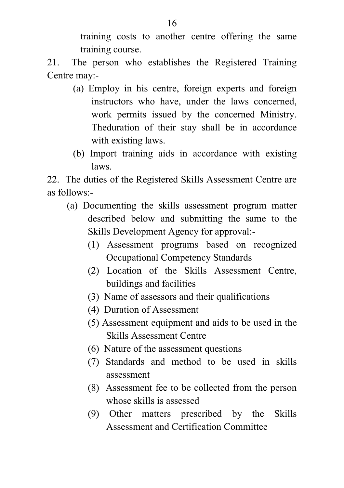training costs to another centre offering the same training course.

21. The person who establishes the Registered Training Centre may:-

- (a) Employ in his centre, foreign experts and foreign instructors who have, under the laws concerned, work permits issued by the concerned Ministry. Theduration of their stay shall be in accordance with existing laws.
- (b) Import training aids in accordance with existing laws.

22. The duties of the Registered Skills Assessment Centre are as follows:-

- (a) Documenting the skills assessment program matter described below and submitting the same to the Skills Development Agency for approval:-
	- (1) Assessment programs based on recognized Occupational Competency Standards
	- (2) Location of the Skills Assessment Centre, buildings and facilities
	- (3) Name of assessors and their qualifications
	- (4) Duration of Assessment
	- (5) Assessment equipment and aids to be used in the Skills Assessment Centre
	- (6) Nature of the assessment questions
	- (7) Standards and method to be used in skills assessment
	- (8) Assessment fee to be collected from the person whose skills is assessed
	- (9) Other matters prescribed by the Skills Assessment and Certification Committee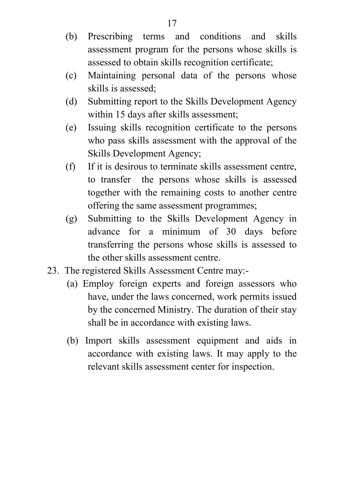- (b) Prescribing terms and conditions and skills assessment program for the persons whose skills is assessed to obtain skills recognition certificate;
- (c) Maintaining personal data of the persons whose skills is assessed;
- (d) Submitting report to the Skills Development Agency within 15 days after skills assessment;
- (e) Issuing skills recognition certificate to the persons who pass skills assessment with the approval of the Skills Development Agency;
- (f) If it is desirous to terminate skills assessment centre, to transfer the persons whose skills is assessed together with the remaining costs to another centre offering the same assessment programmes;
- (g) Submitting to the Skills Development Agency in advance for a minimum of 30 days before transferring the persons whose skills is assessed to the other skills assessment centre.
- 23. The registered Skills Assessment Centre may:-
	- (a) Employ foreign experts and foreign assessors who have, under the laws concerned, work permits issued by the concerned Ministry. The duration of their stay shall be in accordance with existing laws.
	- (b) Import skills assessment equipment and aids in accordance with existing laws. It may apply to the relevant skills assessment center for inspection.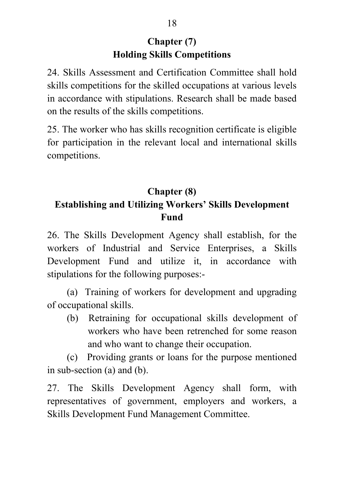## **Chapter (7) Holding Skills Competitions**

24. Skills Assessment and Certification Committee shall hold skills competitions for the skilled occupations at various levels in accordance with stipulations. Research shall be made based on the results of the skills competitions.

25. The worker who has skills recognition certificate is eligible for participation in the relevant local and international skills competitions.

## **Chapter (8) Establishing and Utilizing Workers' Skills Development Fund**

26. The Skills Development Agency shall establish, for the workers of Industrial and Service Enterprises, a Skills Development Fund and utilize it, in accordance with stipulations for the following purposes:-

 (a) Training of workers for development and upgrading of occupational skills.

 (b) Retraining for occupational skills development of workers who have been retrenched for some reason and who want to change their occupation.

 (c) Providing grants or loans for the purpose mentioned in sub-section (a) and (b).

27. The Skills Development Agency shall form, with representatives of government, employers and workers, a Skills Development Fund Management Committee.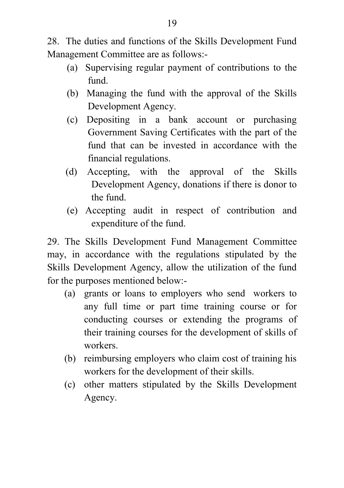28. The duties and functions of the Skills Development Fund Management Committee are as follows:-

- (a) Supervising regular payment of contributions to the fund.
- (b) Managing the fund with the approval of the Skills Development Agency.
- (c) Depositing in a bank account or purchasing Government Saving Certificates with the part of the fund that can be invested in accordance with the financial regulations.
- (d) Accepting, with the approval of the Skills Development Agency, donations if there is donor to the fund.
- (e) Accepting audit in respect of contribution and expenditure of the fund.

29. The Skills Development Fund Management Committee may, in accordance with the regulations stipulated by the Skills Development Agency, allow the utilization of the fund for the purposes mentioned below:-

- (a) grants or loans to employers who send workers to any full time or part time training course or for conducting courses or extending the programs of their training courses for the development of skills of workers.
- (b) reimbursing employers who claim cost of training his workers for the development of their skills.
- (c) other matters stipulated by the Skills Development Agency.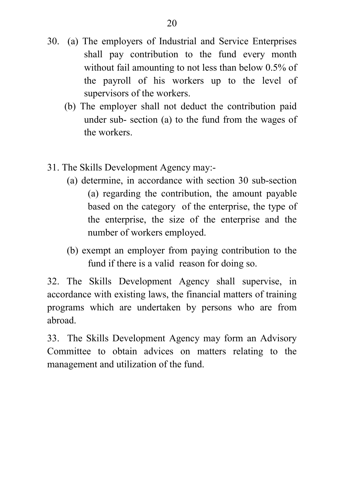- 30. (a) The employers of Industrial and Service Enterprises shall pay contribution to the fund every month without fail amounting to not less than below 0.5% of the payroll of his workers up to the level of supervisors of the workers.
	- (b) The employer shall not deduct the contribution paid under sub- section (a) to the fund from the wages of the workers.
- 31. The Skills Development Agency may:-
	- (a) determine, in accordance with section 30 sub-section (a) regarding the contribution, the amount payable based on the category of the enterprise, the type of the enterprise, the size of the enterprise and the number of workers employed.
	- (b) exempt an employer from paying contribution to the fund if there is a valid reason for doing so.

32. The Skills Development Agency shall supervise, in accordance with existing laws, the financial matters of training programs which are undertaken by persons who are from abroad.

33. The Skills Development Agency may form an Advisory Committee to obtain advices on matters relating to the management and utilization of the fund.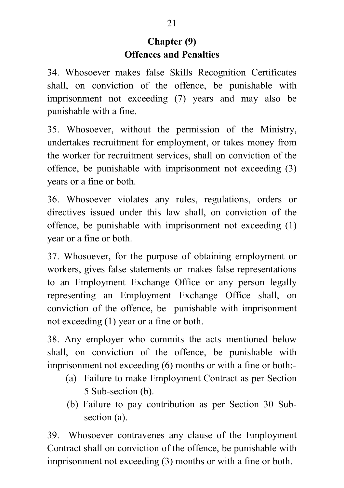## **Chapter (9) Offences and Penalties**

34. Whosoever makes false Skills Recognition Certificates shall, on conviction of the offence, be punishable with imprisonment not exceeding (7) years and may also be punishable with a fine.

35. Whosoever, without the permission of the Ministry, undertakes recruitment for employment, or takes money from the worker for recruitment services, shall on conviction of the offence, be punishable with imprisonment not exceeding (3) years or a fine or both.

36. Whosoever violates any rules, regulations, orders or directives issued under this law shall, on conviction of the offence, be punishable with imprisonment not exceeding (1) year or a fine or both.

37. Whosoever, for the purpose of obtaining employment or workers, gives false statements or makes false representations to an Employment Exchange Office or any person legally representing an Employment Exchange Office shall, on conviction of the offence, be punishable with imprisonment not exceeding (1) year or a fine or both.

38. Any employer who commits the acts mentioned below shall, on conviction of the offence, be punishable with imprisonment not exceeding (6) months or with a fine or both:-

- (a) Failure to make Employment Contract as per Section 5 Sub-section (b).
- (b) Failure to pay contribution as per Section 30 Subsection (a).

39. Whosoever contravenes any clause of the Employment Contract shall on conviction of the offence, be punishable with imprisonment not exceeding (3) months or with a fine or both.